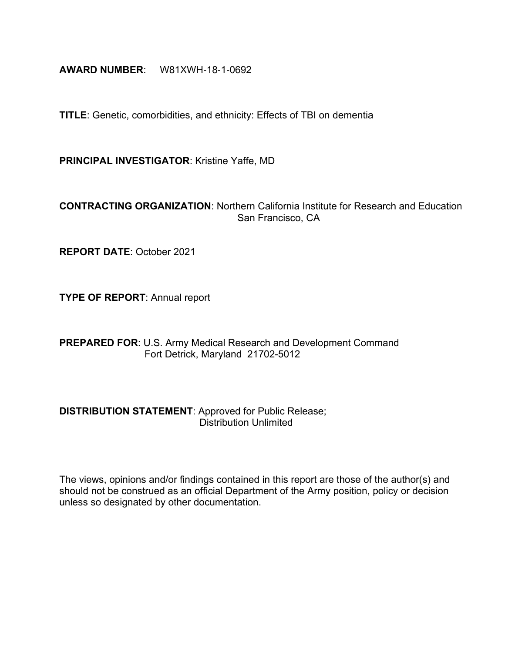## **AWARD NUMBER**: W81XWH‐18‐1‐0692

**TITLE**: Genetic, comorbidities, and ethnicity: Effects of TBI on dementia

**PRINCIPAL INVESTIGATOR**: Kristine Yaffe, MD

## **CONTRACTING ORGANIZATION**: Northern California Institute for Research and Education San Francisco, CA

**REPORT DATE**: October 2021

**TYPE OF REPORT**: Annual report

**PREPARED FOR**: U.S. Army Medical Research and Development Command Fort Detrick, Maryland 21702-5012

## **DISTRIBUTION STATEMENT**: Approved for Public Release; Distribution Unlimited

The views, opinions and/or findings contained in this report are those of the author(s) and should not be construed as an official Department of the Army position, policy or decision unless so designated by other documentation.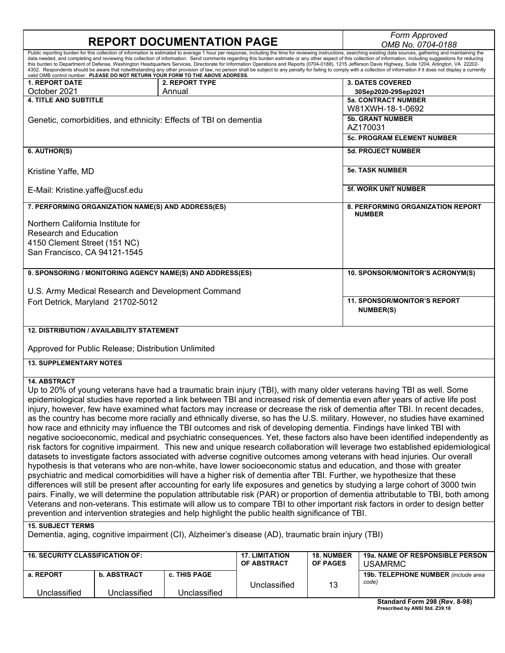# **REPORT DOCUMENTATION PAGE**

*OMB No. 0704-0188*

|                                                                                                                                               |                          |                       |                                     | $VIII$ $VU. VI VT$ - $VI$                                                                                                                                                                                                                                                                                                                                                                                                                 |
|-----------------------------------------------------------------------------------------------------------------------------------------------|--------------------------|-----------------------|-------------------------------------|-------------------------------------------------------------------------------------------------------------------------------------------------------------------------------------------------------------------------------------------------------------------------------------------------------------------------------------------------------------------------------------------------------------------------------------------|
|                                                                                                                                               |                          |                       |                                     | Public reporting burden for this collection of information is estimated to average 1 hour per response, including the time for reviewing instructions, searching existing data sources, gathering and maintaining the<br>data needed, and completing and reviewing this collection of information. Send comments regarding this burden estimate or any other aspect of this collection of information, including suggestions for reducing |
|                                                                                                                                               |                          |                       |                                     | this burden to Department of Defense, Washington Headquarters Services, Directorate for Information Operations and Reports (0704-0188), 1215 Jefferson Davis Highway, Suite 1204, Arlington, VA 22202-<br>4302. Respondents should be aware that notwithstanding any other provision of law, no person shall be subject to any penalty for failing to comply with a collection of information if it does not display a currently          |
| valid OMB control number. PLEASE DO NOT RETURN YOUR FORM TO THE ABOVE ADDRESS.                                                                |                          |                       |                                     |                                                                                                                                                                                                                                                                                                                                                                                                                                           |
| <b>1. REPORT DATE</b><br>October 2021                                                                                                         | 2. REPORT TYPE<br>Annual |                       |                                     | <b>3. DATES COVERED</b><br>30Sep2020-29Sep2021                                                                                                                                                                                                                                                                                                                                                                                            |
| <b>4. TITLE AND SUBTITLE</b>                                                                                                                  |                          |                       |                                     | <b>5a. CONTRACT NUMBER</b>                                                                                                                                                                                                                                                                                                                                                                                                                |
|                                                                                                                                               |                          |                       |                                     | W81XWH-18-1-0692                                                                                                                                                                                                                                                                                                                                                                                                                          |
| Genetic, comorbidities, and ethnicity: Effects of TBI on dementia                                                                             |                          |                       |                                     | <b>5b. GRANT NUMBER</b>                                                                                                                                                                                                                                                                                                                                                                                                                   |
|                                                                                                                                               |                          |                       |                                     | AZ170031                                                                                                                                                                                                                                                                                                                                                                                                                                  |
|                                                                                                                                               |                          |                       |                                     | <b>5c. PROGRAM ELEMENT NUMBER</b>                                                                                                                                                                                                                                                                                                                                                                                                         |
| 6. AUTHOR(S)                                                                                                                                  |                          |                       |                                     | <b>5d. PROJECT NUMBER</b>                                                                                                                                                                                                                                                                                                                                                                                                                 |
|                                                                                                                                               |                          |                       |                                     |                                                                                                                                                                                                                                                                                                                                                                                                                                           |
| Kristine Yaffe, MD                                                                                                                            |                          |                       |                                     | <b>5e. TASK NUMBER</b>                                                                                                                                                                                                                                                                                                                                                                                                                    |
|                                                                                                                                               |                          |                       |                                     |                                                                                                                                                                                                                                                                                                                                                                                                                                           |
| E-Mail: Kristine.yaffe@ucsf.edu                                                                                                               |                          |                       |                                     | <b>5f. WORK UNIT NUMBER</b>                                                                                                                                                                                                                                                                                                                                                                                                               |
|                                                                                                                                               |                          |                       |                                     |                                                                                                                                                                                                                                                                                                                                                                                                                                           |
| 7. PERFORMING ORGANIZATION NAME(S) AND ADDRESS(ES)                                                                                            |                          |                       |                                     | <b>8. PERFORMING ORGANIZATION REPORT</b><br><b>NUMBER</b>                                                                                                                                                                                                                                                                                                                                                                                 |
| Northern California Institute for                                                                                                             |                          |                       |                                     |                                                                                                                                                                                                                                                                                                                                                                                                                                           |
| <b>Research and Education</b>                                                                                                                 |                          |                       |                                     |                                                                                                                                                                                                                                                                                                                                                                                                                                           |
| 4150 Clement Street (151 NC)                                                                                                                  |                          |                       |                                     |                                                                                                                                                                                                                                                                                                                                                                                                                                           |
| San Francisco, CA 94121-1545                                                                                                                  |                          |                       |                                     |                                                                                                                                                                                                                                                                                                                                                                                                                                           |
|                                                                                                                                               |                          |                       |                                     |                                                                                                                                                                                                                                                                                                                                                                                                                                           |
| 9. SPONSORING / MONITORING AGENCY NAME(S) AND ADDRESS(ES)                                                                                     |                          |                       |                                     | 10. SPONSOR/MONITOR'S ACRONYM(S)                                                                                                                                                                                                                                                                                                                                                                                                          |
|                                                                                                                                               |                          |                       |                                     |                                                                                                                                                                                                                                                                                                                                                                                                                                           |
| U.S. Army Medical Research and Development Command                                                                                            |                          |                       |                                     |                                                                                                                                                                                                                                                                                                                                                                                                                                           |
| Fort Detrick, Maryland 21702-5012                                                                                                             |                          |                       | <b>11. SPONSOR/MONITOR'S REPORT</b> |                                                                                                                                                                                                                                                                                                                                                                                                                                           |
|                                                                                                                                               |                          |                       |                                     | <b>NUMBER(S)</b>                                                                                                                                                                                                                                                                                                                                                                                                                          |
|                                                                                                                                               |                          |                       |                                     |                                                                                                                                                                                                                                                                                                                                                                                                                                           |
| <b>12. DISTRIBUTION / AVAILABILITY STATEMENT</b>                                                                                              |                          |                       |                                     |                                                                                                                                                                                                                                                                                                                                                                                                                                           |
| Approved for Public Release; Distribution Unlimited                                                                                           |                          |                       |                                     |                                                                                                                                                                                                                                                                                                                                                                                                                                           |
|                                                                                                                                               |                          |                       |                                     |                                                                                                                                                                                                                                                                                                                                                                                                                                           |
| <b>13. SUPPLEMENTARY NOTES</b>                                                                                                                |                          |                       |                                     |                                                                                                                                                                                                                                                                                                                                                                                                                                           |
|                                                                                                                                               |                          |                       |                                     |                                                                                                                                                                                                                                                                                                                                                                                                                                           |
| <b>14. ABSTRACT</b><br>Up to 20% of young veterans have had a traumatic brain injury (TBI), with many older veterans having TBI as well. Some |                          |                       |                                     |                                                                                                                                                                                                                                                                                                                                                                                                                                           |
| epidemiological studies have reported a link between TBI and increased risk of dementia even after years of active life post                  |                          |                       |                                     |                                                                                                                                                                                                                                                                                                                                                                                                                                           |
|                                                                                                                                               |                          |                       |                                     | injury, however, few have examined what factors may increase or decrease the risk of dementia after TBI. In recent decades,                                                                                                                                                                                                                                                                                                               |
|                                                                                                                                               |                          |                       |                                     | as the country has become more racially and ethnically diverse, so has the U.S. military. However, no studies have examined                                                                                                                                                                                                                                                                                                               |
| how race and ethnicity may influence the TBI outcomes and risk of developing dementia. Findings have linked TBI with                          |                          |                       |                                     |                                                                                                                                                                                                                                                                                                                                                                                                                                           |
|                                                                                                                                               |                          |                       |                                     | negative socioeconomic, medical and psychiatric consequences. Yet, these factors also have been identified independently as                                                                                                                                                                                                                                                                                                               |
|                                                                                                                                               |                          |                       |                                     | risk factors for cognitive impairment. This new and unique research collaboration will leverage two established epidemiological                                                                                                                                                                                                                                                                                                           |
| datasets to investigate factors associated with adverse cognitive outcomes among veterans with head injuries. Our overall                     |                          |                       |                                     |                                                                                                                                                                                                                                                                                                                                                                                                                                           |
| hypothesis is that veterans who are non-white, have lower socioeconomic status and education, and those with greater                          |                          |                       |                                     |                                                                                                                                                                                                                                                                                                                                                                                                                                           |
| psychiatric and medical comorbidities will have a higher risk of dementia after TBI. Further, we hypothesize that these                       |                          |                       |                                     |                                                                                                                                                                                                                                                                                                                                                                                                                                           |
| differences will still be present after accounting for early life exposures and genetics by studying a large cohort of 3000 twin              |                          |                       |                                     |                                                                                                                                                                                                                                                                                                                                                                                                                                           |
|                                                                                                                                               |                          |                       |                                     | pairs. Finally, we will determine the population attributable risk (PAR) or proportion of dementia attributable to TBI, both among                                                                                                                                                                                                                                                                                                        |
|                                                                                                                                               |                          |                       |                                     | Veterans and non-veterans. This estimate will allow us to compare TBI to other important risk factors in order to design better                                                                                                                                                                                                                                                                                                           |
| prevention and intervention strategies and help highlight the public health significance of TBI.                                              |                          |                       |                                     |                                                                                                                                                                                                                                                                                                                                                                                                                                           |
| <b>15. SUBJECT TERMS</b>                                                                                                                      |                          |                       |                                     |                                                                                                                                                                                                                                                                                                                                                                                                                                           |
| Dementia, aging, cognitive impairment (CI), Alzheimer's disease (AD), traumatic brain injury (TBI)                                            |                          |                       |                                     |                                                                                                                                                                                                                                                                                                                                                                                                                                           |
|                                                                                                                                               |                          |                       |                                     |                                                                                                                                                                                                                                                                                                                                                                                                                                           |
| <b>16. SECURITY CLASSIFICATION OF:</b>                                                                                                        |                          | <b>17. LIMITATION</b> | 18. NUMBER                          | 19a. NAME OF RESPONSIBLE PERSON                                                                                                                                                                                                                                                                                                                                                                                                           |

| <b>16. SECURITY CLASSIFICATION OF:</b> |                    |              | <b>17. LIMITATION</b><br>OF ABSTRACT | <b>18. NUMBER</b><br><b>OF PAGES</b> | <b>19a. NAME OF RESPONSIBLE PERSON</b><br>USAMRMC   |
|----------------------------------------|--------------------|--------------|--------------------------------------|--------------------------------------|-----------------------------------------------------|
| a. REPORT                              | <b>b. ABSTRACT</b> | c. THIS PAGE |                                      |                                      | <b>19b. TELEPHONE NUMBER</b> (include area<br>code) |
| Unclassified                           | Unclassified       | Unclassified | Unclassified                         | 13                                   |                                                     |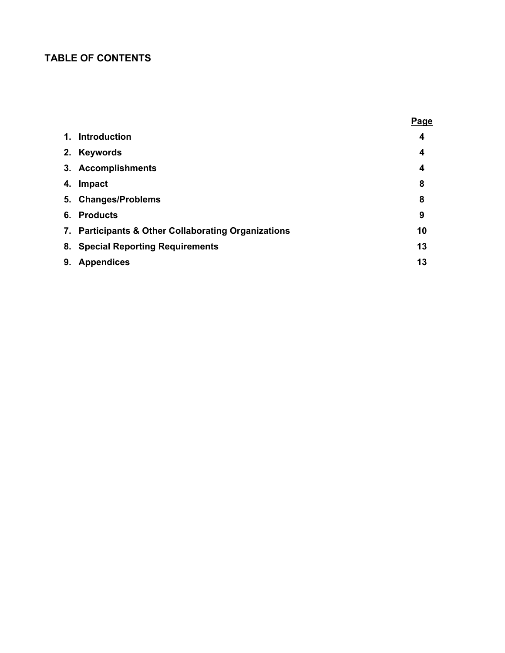## **TABLE OF CONTENTS**

|                                                     | <b>Page</b> |
|-----------------------------------------------------|-------------|
| 1. Introduction                                     | 4           |
| 2. Keywords                                         | 4           |
| 3. Accomplishments                                  | 4           |
| 4. Impact                                           | 8           |
| 5. Changes/Problems                                 | 8           |
| 6. Products                                         | 9           |
| 7. Participants & Other Collaborating Organizations | 10          |
| 8. Special Reporting Requirements                   | 13          |
| 9. Appendices                                       | 13          |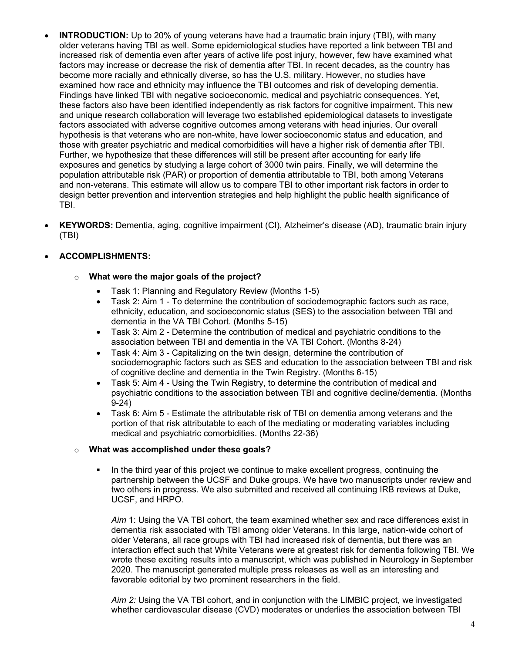- **INTRODUCTION:** Up to 20% of young veterans have had a traumatic brain injury (TBI), with many older veterans having TBI as well. Some epidemiological studies have reported a link between TBI and increased risk of dementia even after years of active life post injury, however, few have examined what factors may increase or decrease the risk of dementia after TBI. In recent decades, as the country has become more racially and ethnically diverse, so has the U.S. military. However, no studies have examined how race and ethnicity may influence the TBI outcomes and risk of developing dementia. Findings have linked TBI with negative socioeconomic, medical and psychiatric consequences. Yet, these factors also have been identified independently as risk factors for cognitive impairment. This new and unique research collaboration will leverage two established epidemiological datasets to investigate factors associated with adverse cognitive outcomes among veterans with head injuries. Our overall hypothesis is that veterans who are non-white, have lower socioeconomic status and education, and those with greater psychiatric and medical comorbidities will have a higher risk of dementia after TBI. Further, we hypothesize that these differences will still be present after accounting for early life exposures and genetics by studying a large cohort of 3000 twin pairs. Finally, we will determine the population attributable risk (PAR) or proportion of dementia attributable to TBI, both among Veterans and non-veterans. This estimate will allow us to compare TBI to other important risk factors in order to design better prevention and intervention strategies and help highlight the public health significance of TBI.
- **KEYWORDS:** Dementia, aging, cognitive impairment (CI), Alzheimer's disease (AD), traumatic brain injury (TBI)

## • **ACCOMPLISHMENTS:**

### o **What were the major goals of the project?**

- Task 1: Planning and Regulatory Review (Months 1-5)
- Task 2: Aim 1 To determine the contribution of sociodemographic factors such as race, ethnicity, education, and socioeconomic status (SES) to the association between TBI and dementia in the VA TBI Cohort. (Months 5-15)
- Task 3: Aim 2 Determine the contribution of medical and psychiatric conditions to the association between TBI and dementia in the VA TBI Cohort. (Months 8-24)
- Task 4: Aim 3 Capitalizing on the twin design, determine the contribution of sociodemographic factors such as SES and education to the association between TBI and risk of cognitive decline and dementia in the Twin Registry. (Months 6-15)
- Task 5: Aim 4 Using the Twin Registry, to determine the contribution of medical and psychiatric conditions to the association between TBI and cognitive decline/dementia. (Months 9-24)
- Task 6: Aim 5 Estimate the attributable risk of TBI on dementia among veterans and the portion of that risk attributable to each of the mediating or moderating variables including medical and psychiatric comorbidities. (Months 22-36)

### o **What was accomplished under these goals?**

 In the third year of this project we continue to make excellent progress, continuing the partnership between the UCSF and Duke groups. We have two manuscripts under review and two others in progress. We also submitted and received all continuing IRB reviews at Duke, UCSF, and HRPO.

*Aim* 1: Using the VA TBI cohort, the team examined whether sex and race differences exist in dementia risk associated with TBI among older Veterans. In this large, nation-wide cohort of older Veterans, all race groups with TBI had increased risk of dementia, but there was an interaction effect such that White Veterans were at greatest risk for dementia following TBI. We wrote these exciting results into a manuscript, which was published in Neurology in September 2020. The manuscript generated multiple press releases as well as an interesting and favorable editorial by two prominent researchers in the field.

*Aim 2:* Using the VA TBI cohort, and in conjunction with the LIMBIC project, we investigated whether cardiovascular disease (CVD) moderates or underlies the association between TBI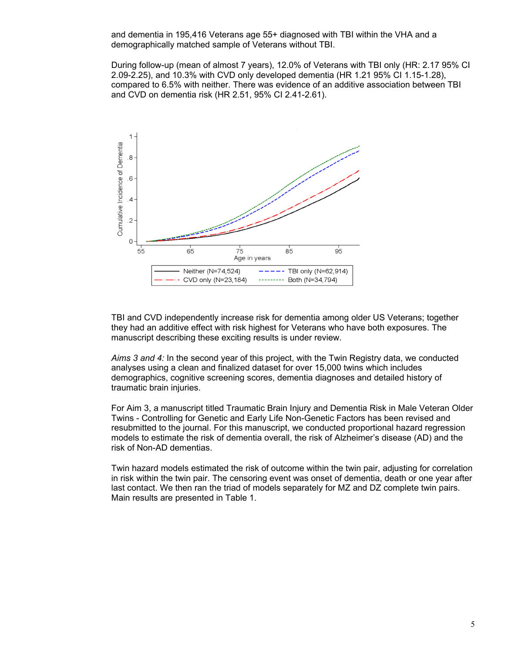and dementia in 195,416 Veterans age 55+ diagnosed with TBI within the VHA and a demographically matched sample of Veterans without TBI.

During follow-up (mean of almost 7 years), 12.0% of Veterans with TBI only (HR: 2.17 95% CI 2.09-2.25), and 10.3% with CVD only developed dementia (HR 1.21 95% CI 1.15-1.28), compared to 6.5% with neither. There was evidence of an additive association between TBI and CVD on dementia risk (HR 2.51, 95% CI 2.41-2.61).



TBI and CVD independently increase risk for dementia among older US Veterans; together they had an additive effect with risk highest for Veterans who have both exposures. The manuscript describing these exciting results is under review.

*Aims 3 and 4:* In the second year of this project, with the Twin Registry data, we conducted analyses using a clean and finalized dataset for over 15,000 twins which includes demographics, cognitive screening scores, dementia diagnoses and detailed history of traumatic brain injuries.

For Aim 3, a manuscript titled Traumatic Brain Injury and Dementia Risk in Male Veteran Older Twins - Controlling for Genetic and Early Life Non-Genetic Factors has been revised and resubmitted to the journal. For this manuscript, we conducted proportional hazard regression models to estimate the risk of dementia overall, the risk of Alzheimer's disease (AD) and the risk of Non-AD dementias.

Twin hazard models estimated the risk of outcome within the twin pair, adjusting for correlation in risk within the twin pair. The censoring event was onset of dementia, death or one year after last contact. We then ran the triad of models separately for MZ and DZ complete twin pairs. Main results are presented in Table 1.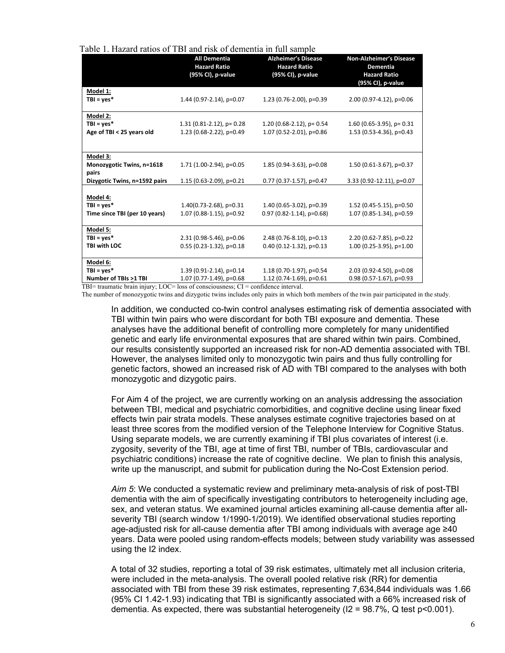| Table 1. Hazard ratios of TBI and risk of dementia in full sample |  |  |  |  |  |
|-------------------------------------------------------------------|--|--|--|--|--|
|-------------------------------------------------------------------|--|--|--|--|--|

|                                                                                 | <b>All Dementia</b><br><b>Hazard Ratio</b><br>(95% CI), p-value | <b>Alzheimer's Disease</b><br><b>Hazard Ratio</b><br>(95% CI), p-value | <b>Non-Alzheimer's Disease</b><br><b>Dementia</b><br><b>Hazard Ratio</b><br>(95% CI), p-value |
|---------------------------------------------------------------------------------|-----------------------------------------------------------------|------------------------------------------------------------------------|-----------------------------------------------------------------------------------------------|
| Model 1:<br>$TBI = yes*$                                                        | 1.44 (0.97-2.14), p=0.07                                        | 1.23 (0.76-2.00), p=0.39                                               | 2.00 (0.97-4.12), p=0.06                                                                      |
| Model 2:<br>$TBI = yes*$<br>Age of TBI < 25 years old                           | $1.31$ (0.81-2.12), p= 0.28<br>1.23 (0.68-2.22), p=0.49         | $1.20(0.68-2.12)$ , p= 0.54<br>1.07 (0.52-2.01), p=0.86                | $1.60$ (0.65-3.95), p= 0.31<br>1.53 (0.53-4.36), p=0.43                                       |
| Model 3:<br>Monozygotic Twins, n=1618<br>pairs<br>Dizygotic Twins, n=1592 pairs | 1.71 (1.00-2.94), p=0.05<br>1.15 $(0.63 - 2.09)$ , p=0.21       | $1.85(0.94-3.63)$ , p=0.08<br>$0.77$ (0.37-1.57), p=0.47               | 1.50 (0.61-3.67), p=0.37<br>3.33 (0.92-12.11), p=0.07                                         |
| Model 4:<br>$TBI = yes*$<br>Time since TBI (per 10 years)                       | $1.40(0.73 - 2.68)$ , p=0.31<br>1.07 (0.88-1.15), p=0.92        | 1.40 (0.65-3.02), p=0.39<br>$0.97(0.82 - 1.14)$ , p=0.68)              | 1.52 (0.45-5.15), p=0.50<br>1.07 (0.85-1.34), p=0.59                                          |
| Model 5:<br>$TBI = yes*$<br>TBI with LOC                                        | 2.31 (0.98-5.46), p=0.06<br>$0.55$ (0.23-1.32), p=0.18          | 2.48 (0.76-8.10), p=0.13<br>$0.40$ (0.12-1.32), p=0.13                 | 2.20 (0.62-7.85), p=0.22<br>$1.00$ (0.25-3.95), p=1.00                                        |
| Model 6:<br>$TBI = yes*$<br>Number of TBIs >1 TBI                               | 1.39 (0.91-2.14), p=0.14<br>1.07 (0.77-1.49), p=0.68            | 1.18 (0.70-1.97), p=0.54<br>1.12 (0.74-1.69), $p=0.61$                 | 2.03 (0.92-4.50), p=0.08<br>$0.98$ (0.57-1.67), p=0.93                                        |

TBI= traumatic brain injury; LOC= loss of consciousness; CI = confidence interval.

The number of monozygotic twins and dizygotic twins includes only pairs in which both members of the twin pair participated in the study.

In addition, we conducted co-twin control analyses estimating risk of dementia associated with TBI within twin pairs who were discordant for both TBI exposure and dementia. These analyses have the additional benefit of controlling more completely for many unidentified genetic and early life environmental exposures that are shared within twin pairs. Combined, our results consistently supported an increased risk for non-AD dementia associated with TBI. However, the analyses limited only to monozygotic twin pairs and thus fully controlling for genetic factors, showed an increased risk of AD with TBI compared to the analyses with both monozygotic and dizygotic pairs.

For Aim 4 of the project, we are currently working on an analysis addressing the association between TBI, medical and psychiatric comorbidities, and cognitive decline using linear fixed effects twin pair strata models. These analyses estimate cognitive trajectories based on at least three scores from the modified version of the Telephone Interview for Cognitive Status. Using separate models, we are currently examining if TBI plus covariates of interest (i.e. zygosity, severity of the TBI, age at time of first TBI, number of TBIs, cardiovascular and psychiatric conditions) increase the rate of cognitive decline. We plan to finish this analysis, write up the manuscript, and submit for publication during the No-Cost Extension period.

*Aim 5*: We conducted a systematic review and preliminary meta-analysis of risk of post-TBI dementia with the aim of specifically investigating contributors to heterogeneity including age, sex, and veteran status. We examined journal articles examining all-cause dementia after allseverity TBI (search window 1/1990-1/2019). We identified observational studies reporting age-adjusted risk for all-cause dementia after TBI among individuals with average age ≥40 years. Data were pooled using random-effects models; between study variability was assessed using the I2 index.

A total of 32 studies, reporting a total of 39 risk estimates, ultimately met all inclusion criteria, were included in the meta-analysis. The overall pooled relative risk (RR) for dementia associated with TBI from these 39 risk estimates, representing 7,634,844 individuals was 1.66 (95% CI 1.42-1.93) indicating that TBI is significantly associated with a 66% increased risk of dementia. As expected, there was substantial heterogeneity ( $12 = 98.7\%$ , Q test p<0.001).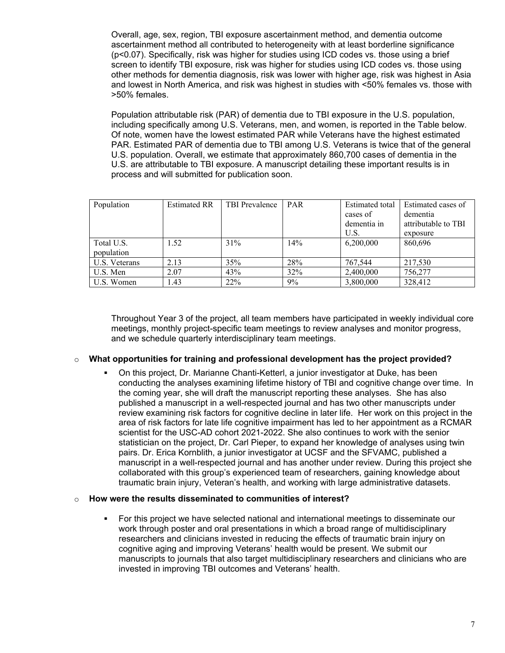Overall, age, sex, region, TBI exposure ascertainment method, and dementia outcome ascertainment method all contributed to heterogeneity with at least borderline significance (p<0.07). Specifically, risk was higher for studies using ICD codes vs. those using a brief screen to identify TBI exposure, risk was higher for studies using ICD codes vs. those using other methods for dementia diagnosis, risk was lower with higher age, risk was highest in Asia and lowest in North America, and risk was highest in studies with <50% females vs. those with >50% females.

Population attributable risk (PAR) of dementia due to TBI exposure in the U.S. population, including specifically among U.S. Veterans, men, and women, is reported in the Table below. Of note, women have the lowest estimated PAR while Veterans have the highest estimated PAR. Estimated PAR of dementia due to TBI among U.S. Veterans is twice that of the general U.S. population. Overall, we estimate that approximately 860,700 cases of dementia in the U.S. are attributable to TBI exposure. A manuscript detailing these important results is in process and will submitted for publication soon.

| Population               | <b>Estimated RR</b> | TBI Prevalence | <b>PAR</b> | Estimated total<br>cases of<br>dementia in<br>U.S. | Estimated cases of<br>dementia<br>attributable to TBI<br>exposure |
|--------------------------|---------------------|----------------|------------|----------------------------------------------------|-------------------------------------------------------------------|
| Total U.S.<br>population | 1.52                | 31%            | 14%        | 6,200,000                                          | 860,696                                                           |
| U.S. Veterans            | 2.13                | 35%            | 28%        | 767,544                                            | 217.530                                                           |
| U.S. Men                 | 2.07                | 43%            | 32%        | 2,400,000                                          | 756,277                                                           |
| U.S. Women               | 1.43                | 22%            | 9%         | 3,800,000                                          | 328,412                                                           |

Throughout Year 3 of the project, all team members have participated in weekly individual core meetings, monthly project-specific team meetings to review analyses and monitor progress, and we schedule quarterly interdisciplinary team meetings.

### o **What opportunities for training and professional development has the project provided?**

 On this project, Dr. Marianne Chanti-Ketterl, a junior investigator at Duke, has been conducting the analyses examining lifetime history of TBI and cognitive change over time. In the coming year, she will draft the manuscript reporting these analyses. She has also published a manuscript in a well-respected journal and has two other manuscripts under review examining risk factors for cognitive decline in later life. Her work on this project in the area of risk factors for late life cognitive impairment has led to her appointment as a RCMAR scientist for the USC-AD cohort 2021-2022. She also continues to work with the senior statistician on the project, Dr. Carl Pieper, to expand her knowledge of analyses using twin pairs. Dr. Erica Kornblith, a junior investigator at UCSF and the SFVAMC, published a manuscript in a well-respected journal and has another under review. During this project she collaborated with this group's experienced team of researchers, gaining knowledge about traumatic brain injury, Veteran's health, and working with large administrative datasets.

#### o **How were the results disseminated to communities of interest?**

 For this project we have selected national and international meetings to disseminate our work through poster and oral presentations in which a broad range of multidisciplinary researchers and clinicians invested in reducing the effects of traumatic brain injury on cognitive aging and improving Veterans' health would be present. We submit our manuscripts to journals that also target multidisciplinary researchers and clinicians who are invested in improving TBI outcomes and Veterans' health.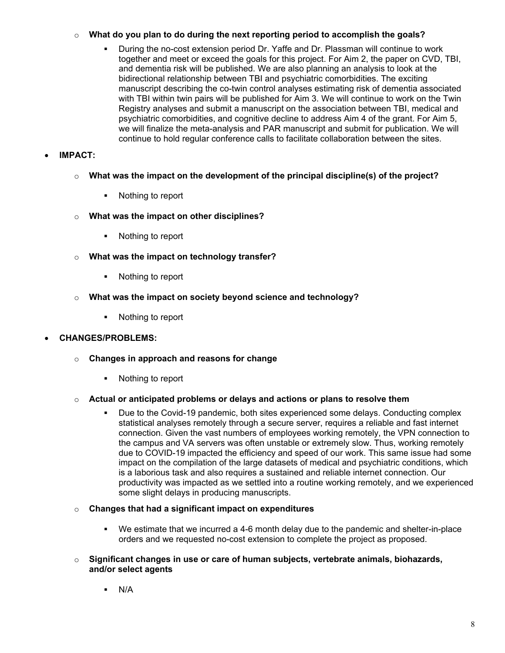## o **What do you plan to do during the next reporting period to accomplish the goals?**

 During the no-cost extension period Dr. Yaffe and Dr. Plassman will continue to work together and meet or exceed the goals for this project. For Aim 2, the paper on CVD, TBI, and dementia risk will be published. We are also planning an analysis to look at the bidirectional relationship between TBI and psychiatric comorbidities. The exciting manuscript describing the co-twin control analyses estimating risk of dementia associated with TBI within twin pairs will be published for Aim 3. We will continue to work on the Twin Registry analyses and submit a manuscript on the association between TBI, medical and psychiatric comorbidities, and cognitive decline to address Aim 4 of the grant. For Aim 5, we will finalize the meta-analysis and PAR manuscript and submit for publication. We will continue to hold regular conference calls to facilitate collaboration between the sites.

## • **IMPACT:**

- o **What was the impact on the development of the principal discipline(s) of the project?**
	- Nothing to report
- o **What was the impact on other disciplines?**
	- Nothing to report
- o **What was the impact on technology transfer?**
	- Nothing to report
- o **What was the impact on society beyond science and technology?**
	- Nothing to report

## • **CHANGES/PROBLEMS:**

- o **Changes in approach and reasons for change**
	- Nothing to report

## o **Actual or anticipated problems or delays and actions or plans to resolve them**

- Due to the Covid-19 pandemic, both sites experienced some delays. Conducting complex statistical analyses remotely through a secure server, requires a reliable and fast internet connection. Given the vast numbers of employees working remotely, the VPN connection to the campus and VA servers was often unstable or extremely slow. Thus, working remotely due to COVID-19 impacted the efficiency and speed of our work. This same issue had some impact on the compilation of the large datasets of medical and psychiatric conditions, which is a laborious task and also requires a sustained and reliable internet connection. Our productivity was impacted as we settled into a routine working remotely, and we experienced some slight delays in producing manuscripts.
- o **Changes that had a significant impact on expenditures**
	- We estimate that we incurred a 4-6 month delay due to the pandemic and shelter-in-place orders and we requested no-cost extension to complete the project as proposed.
- o **Significant changes in use or care of human subjects, vertebrate animals, biohazards, and/or select agents**
	- $\blacksquare$  N/A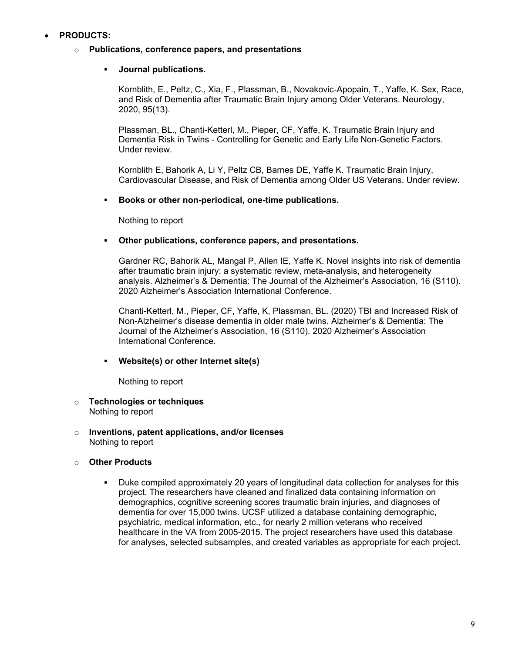## • **PRODUCTS:**

#### o **Publications, conference papers, and presentations**

#### **Journal publications.**

Kornblith, E., Peltz, C., Xia, F., Plassman, B., Novakovic-Apopain, T., Yaffe, K. Sex, Race, and Risk of Dementia after Traumatic Brain Injury among Older Veterans. Neurology, 2020, 95(13).

Plassman, BL., Chanti-Ketterl, M., Pieper, CF, Yaffe, K. Traumatic Brain Injury and Dementia Risk in Twins - Controlling for Genetic and Early Life Non-Genetic Factors. Under review.

Kornblith E, Bahorik A, Li Y, Peltz CB, Barnes DE, Yaffe K. Traumatic Brain Injury, Cardiovascular Disease, and Risk of Dementia among Older US Veterans. Under review.

#### **Books or other non-periodical, one-time publications.**

Nothing to report

#### **Other publications, conference papers, and presentations.**

Gardner RC, Bahorik AL, Mangal P, Allen IE, Yaffe K. Novel insights into risk of dementia after traumatic brain injury: a systematic review, meta-analysis, and heterogeneity analysis. Alzheimer's & Dementia: The Journal of the Alzheimer's Association, 16 (S110). 2020 Alzheimer's Association International Conference.

Chanti-Ketterl, M., Pieper, CF, Yaffe, K, Plassman, BL. (2020) TBI and Increased Risk of Non-Alzheimer's disease dementia in older male twins. Alzheimer's & Dementia: The Journal of the Alzheimer's Association, 16 (S110). 2020 Alzheimer's Association International Conference.

### **Website(s) or other Internet site(s)**

Nothing to report

#### o **Technologies or techniques** Nothing to report

o **Inventions, patent applications, and/or licenses** Nothing to report

### o **Other Products**

 Duke compiled approximately 20 years of longitudinal data collection for analyses for this project. The researchers have cleaned and finalized data containing information on demographics, cognitive screening scores traumatic brain injuries, and diagnoses of dementia for over 15,000 twins. UCSF utilized a database containing demographic, psychiatric, medical information, etc., for nearly 2 million veterans who received healthcare in the VA from 2005-2015. The project researchers have used this database for analyses, selected subsamples, and created variables as appropriate for each project.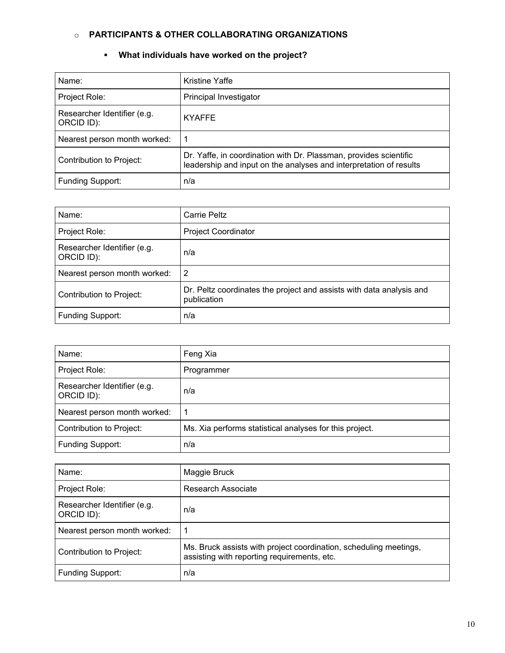## o **PARTICIPANTS & OTHER COLLABORATING ORGANIZATIONS**

## **What individuals have worked on the project?**

| Name:                                     | <b>Kristine Yaffe</b>                                                                                                                   |
|-------------------------------------------|-----------------------------------------------------------------------------------------------------------------------------------------|
| Project Role:                             | Principal Investigator                                                                                                                  |
| Researcher Identifier (e.g.<br>ORCID ID): | <b>KYAFFE</b>                                                                                                                           |
| Nearest person month worked:              |                                                                                                                                         |
| Contribution to Project:                  | Dr. Yaffe, in coordination with Dr. Plassman, provides scientific<br>leadership and input on the analyses and interpretation of results |
| Funding Support:                          | n/a                                                                                                                                     |

| Name:                                     | Carrie Peltz                                                                        |
|-------------------------------------------|-------------------------------------------------------------------------------------|
| Project Role:                             | <b>Project Coordinator</b>                                                          |
| Researcher Identifier (e.g.<br>ORCID ID): | n/a                                                                                 |
| Nearest person month worked:              | 2                                                                                   |
| Contribution to Project:                  | Dr. Peltz coordinates the project and assists with data analysis and<br>publication |
| <b>Funding Support:</b>                   | n/a                                                                                 |

| Name:                                     | Feng Xia                                                |
|-------------------------------------------|---------------------------------------------------------|
| Project Role:                             | Programmer                                              |
| Researcher Identifier (e.g.<br>ORCID ID): | n/a                                                     |
| Nearest person month worked:              |                                                         |
| Contribution to Project:                  | Ms. Xia performs statistical analyses for this project. |
| <b>Funding Support:</b>                   | n/a                                                     |

| Name:                                     | Maggie Bruck                                                                                                     |
|-------------------------------------------|------------------------------------------------------------------------------------------------------------------|
| Project Role:                             | Research Associate                                                                                               |
| Researcher Identifier (e.g.<br>ORCID ID): | n/a                                                                                                              |
| Nearest person month worked:              | -1                                                                                                               |
| Contribution to Project:                  | Ms. Bruck assists with project coordination, scheduling meetings,<br>assisting with reporting requirements, etc. |
| <b>Funding Support:</b>                   | n/a                                                                                                              |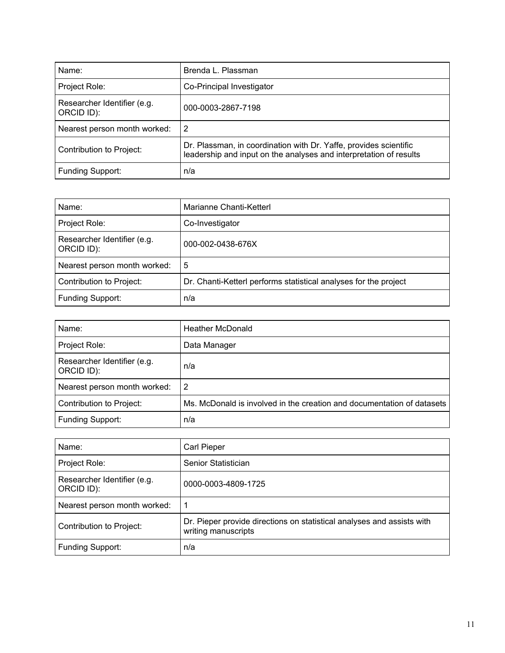| Name:                                     | Brenda L. Plassman                                                                                                                      |
|-------------------------------------------|-----------------------------------------------------------------------------------------------------------------------------------------|
| Project Role:                             | Co-Principal Investigator                                                                                                               |
| Researcher Identifier (e.g.<br>ORCID ID): | 000-0003-2867-7198                                                                                                                      |
| Nearest person month worked:              | -2                                                                                                                                      |
| Contribution to Project:                  | Dr. Plassman, in coordination with Dr. Yaffe, provides scientific<br>leadership and input on the analyses and interpretation of results |
| Funding Support:                          | n/a                                                                                                                                     |

| Name:                                     | Marianne Chanti-Ketterl                                          |
|-------------------------------------------|------------------------------------------------------------------|
| Project Role:                             | Co-Investigator                                                  |
| Researcher Identifier (e.g.<br>ORCID ID): | 000-002-0438-676X                                                |
| Nearest person month worked:              | 5                                                                |
| Contribution to Project:                  | Dr. Chanti-Ketterl performs statistical analyses for the project |
| Funding Support:                          | n/a                                                              |

| Name:                                     | <b>Heather McDonald</b>                                                |
|-------------------------------------------|------------------------------------------------------------------------|
| Project Role:                             | Data Manager                                                           |
| Researcher Identifier (e.g.<br>ORCID ID): | n/a                                                                    |
| Nearest person month worked:              | 2                                                                      |
| Contribution to Project:                  | Ms. McDonald is involved in the creation and documentation of datasets |
| Funding Support:                          | n/a                                                                    |

| Name:                                     | Carl Pieper                                                                                   |
|-------------------------------------------|-----------------------------------------------------------------------------------------------|
| Project Role:                             | Senior Statistician                                                                           |
| Researcher Identifier (e.g.<br>ORCID ID): | 0000-0003-4809-1725                                                                           |
| Nearest person month worked:              |                                                                                               |
| Contribution to Project:                  | Dr. Pieper provide directions on statistical analyses and assists with<br>writing manuscripts |
| Funding Support:                          | n/a                                                                                           |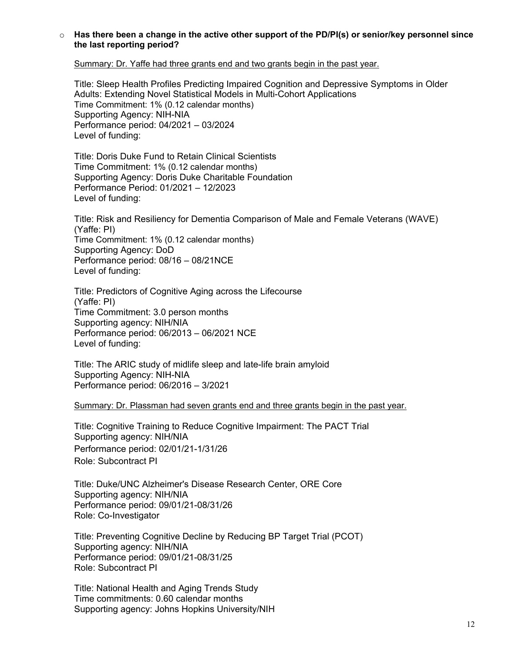#### o **Has there been a change in the active other support of the PD/PI(s) or senior/key personnel since the last reporting period?**

Summary: Dr. Yaffe had three grants end and two grants begin in the past year.

Title: Sleep Health Profiles Predicting Impaired Cognition and Depressive Symptoms in Older Adults: Extending Novel Statistical Models in Multi-Cohort Applications Time Commitment: 1% (0.12 calendar months) Supporting Agency: NIH-NIA Performance period: 04/2021 – 03/2024 Level of funding:

Title: Doris Duke Fund to Retain Clinical Scientists Time Commitment: 1% (0.12 calendar months) Supporting Agency: Doris Duke Charitable Foundation Performance Period: 01/2021 – 12/2023 Level of funding:

Title: Risk and Resiliency for Dementia Comparison of Male and Female Veterans (WAVE) (Yaffe: PI) Time Commitment: 1% (0.12 calendar months) Supporting Agency: DoD Performance period: 08/16 – 08/21NCE Level of funding:

Title: Predictors of Cognitive Aging across the Lifecourse (Yaffe: PI) Time Commitment: 3.0 person months Supporting agency: NIH/NIA Performance period: 06/2013 – 06/2021 NCE Level of funding:

Title: The ARIC study of midlife sleep and late-life brain amyloid Supporting Agency: NIH-NIA Performance period: 06/2016 – 3/2021

Summary: Dr. Plassman had seven grants end and three grants begin in the past year.

Title: Cognitive Training to Reduce Cognitive Impairment: The PACT Trial Supporting agency: NIH/NIA Performance period: 02/01/21-1/31/26 Role: Subcontract PI

Title: Duke/UNC Alzheimer's Disease Research Center, ORE Core Supporting agency: NIH/NIA Performance period: 09/01/21-08/31/26 Role: Co-Investigator

Title: Preventing Cognitive Decline by Reducing BP Target Trial (PCOT) Supporting agency: NIH/NIA Performance period: 09/01/21-08/31/25 Role: Subcontract PI

Title: National Health and Aging Trends Study Time commitments: 0.60 calendar months Supporting agency: Johns Hopkins University/NIH